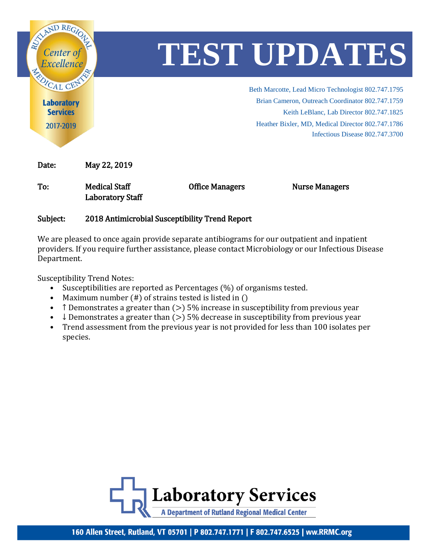

## Subject: 2018 Antimicrobial Susceptibility Trend Report

We are pleased to once again provide separate antibiograms for our outpatient and inpatient providers. If you require further assistance, please contact Microbiology or our Infectious Disease Department.

Susceptibility Trend Notes:

- Susceptibilities are reported as Percentages (%) of organisms tested.
- Maximum number (#) of strains tested is listed in ()
- T Demonstrates a greater than  $(>)$  5% increase in susceptibility from previous year
- $\downarrow$  Demonstrates a greater than ( $>$ ) 5% decrease in susceptibility from previous year
- Trend assessment from the previous year is not provided for less than 100 isolates per species.